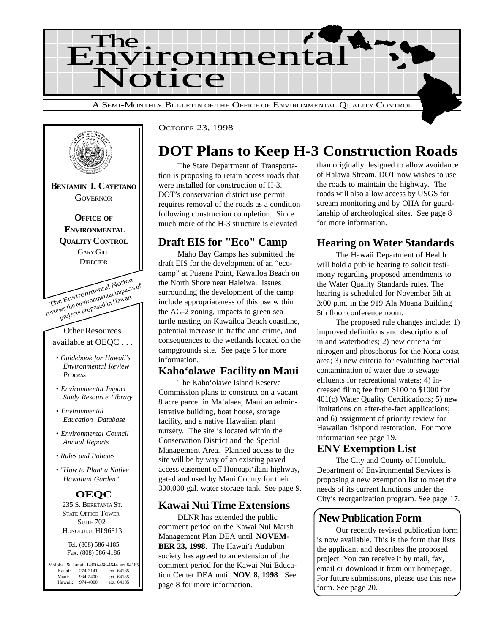



OCTOBER 23, 1998

# **DOT Plans to Keep H-3 Construction Roads**

The State Department of Transportation is proposing to retain access roads that were installed for construction of H-3. DOT's conservation district use permit requires removal of the roads as a condition following construction completion. Since much more of the H-3 structure is elevated

## **Draft EIS for "Eco" Camp**

Maho Bay Camps has submitted the draft EIS for the development of an "ecocamp" at Puaena Point, Kawailoa Beach on the North Shore near Haleiwa. Issues surrounding the development of the camp include appropriateness of this use within the AG-2 zoning, impacts to green sea turtle nesting on Kawailoa Beach coastline, potential increase in traffic and crime, and consequences to the wetlands located on the campgrounds site. See page 5 for more information.

#### **Kaho'olawe Facility on Maui**

The Kaho'olawe Island Reserve Commission plans to construct on a vacant 8 acre parcel in Ma'alaea, Maui an administrative building, boat house, storage facility, and a native Hawaiian plant nursery. The site is located within the Conservation District and the Special Management Area. Planned access to the site will be by way of an existing paved access easement off Honoapi'ilani highway, gated and used by Maui County for their 300,000 gal. water storage tank. See page 9.

### **Kawai Nui Time Extensions**

DLNR has extended the public comment period on the Kawai Nui Marsh Management Plan DEA until **NOVEM-BER 23, 1998**. The Hawai'i Audubon society has agreed to an extension of the comment period for the Kawai Nui Education Center DEA until **NOV. 8, 1998**. See page 8 for more information.

than originally designed to allow avoidance of Halawa Stream, DOT now wishes to use the roads to maintain the highway. The roads will also allow access by USGS for stream monitoring and by OHA for guardianship of archeological sites. See page 8 for more information.

# **Hearing on Water Standards**

The Hawaii Department of Health will hold a public hearing to solicit testimony regarding proposed amendments to the Water Quality Standards rules. The hearing is scheduled for November 5th at 3:00 p.m. in the 919 Ala Moana Building 5th floor conference room.

The proposed rule changes include: 1) improved definitions and descriptions of inland waterbodies; 2) new criteria for nitrogen and phosphorus for the Kona coast area; 3) new criteria for evaluating bacterial contamination of water due to sewage effluents for recreational waters; 4) increased filing fee from \$100 to \$1000 for 401(c) Water Quality Certifications; 5) new limitations on after-the-fact applications; and 6) assignment of priority review for Hawaiian fishpond restoration. For more information see page 19.

### **ENV Exemption List**

The City and County of Honolulu, Department of Environmental Services is proposing a new exemption list to meet the needs of its current functions under the City's reorganization program. See page 17.

### **New Publication Form**

Our recently revised publication form is now available. This is the form that lists the applicant and describes the proposed project. You can receive it by mail, fax, email or download it from our homepage. For future submissions, please use this new form. See page 20.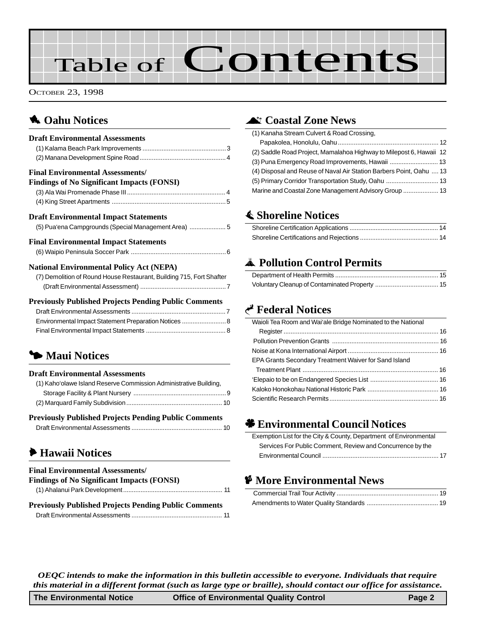# Table of Contents

OCTOBER 23, 1998

# **1** Oahu Notices

| <b>Draft Environmental Assessments</b>                                                                                  |
|-------------------------------------------------------------------------------------------------------------------------|
|                                                                                                                         |
|                                                                                                                         |
| <b>Final Environmental Assessments/</b>                                                                                 |
| <b>Findings of No Significant Impacts (FONSI)</b>                                                                       |
|                                                                                                                         |
|                                                                                                                         |
| <b>Draft Environmental Impact Statements</b>                                                                            |
| (5) Pua'ena Campgrounds (Special Management Area)  5                                                                    |
| <b>Final Environmental Impact Statements</b>                                                                            |
|                                                                                                                         |
| <b>National Environmental Policy Act (NEPA)</b><br>(7) Demolition of Round House Restaurant, Building 715, Fort Shafter |
|                                                                                                                         |
| <b>Previously Published Projects Pending Public Comments</b>                                                            |
|                                                                                                                         |
| Environmental Impact Statement Preparation Notices  8                                                                   |
|                                                                                                                         |
|                                                                                                                         |
| • Maui Notices                                                                                                          |
| <b>Draft Environmental Assessments</b>                                                                                  |
| (1) Kaho'olawe Island Reserve Commission Administrative Building,                                                       |
|                                                                                                                         |
|                                                                                                                         |
| <b>Previously Published Projects Pending Public Comments</b>                                                            |
|                                                                                                                         |
|                                                                                                                         |

# 6 **[Hawaii Notices](#page-10-0)**

| <b>Final Environmental Assessments/</b><br><b>Findings of No Significant Impacts (FONSI)</b> |
|----------------------------------------------------------------------------------------------|
| <b>Previously Published Projects Pending Public Comments</b>                                 |

# ^ **[Coastal Zone News](#page-11-0)**

| (1) Kanaha Stream Culvert & Road Crossing,                          |  |
|---------------------------------------------------------------------|--|
|                                                                     |  |
| (2) Saddle Road Project, Mamalahoa Highway to Milepost 6, Hawaii 12 |  |
|                                                                     |  |
| (4) Disposal and Reuse of Naval Air Station Barbers Point, Oahu  13 |  |
|                                                                     |  |
|                                                                     |  |

# s **Shoreline Notices**

## V **Pollution Control Permits**

# G **Federal Notices**

| Waioli Tea Room and Wai'ale Bridge Nominated to the National |  |
|--------------------------------------------------------------|--|
|                                                              |  |
|                                                              |  |
|                                                              |  |
| EPA Grants Secondary Treatment Waiver for Sand Island        |  |
|                                                              |  |
|                                                              |  |
|                                                              |  |
|                                                              |  |

# ' **Environmental Council Notices**

| Exemption List for the City & County, Department of Environmental |  |
|-------------------------------------------------------------------|--|
| Services For Public Comment, Review and Concurrence by the        |  |
|                                                                   |  |

# C **More Environmental News**

*OEQC intends to make the information in this bulletin accessible to everyone. Individuals that require this material in a different format (such as large type or braille), should contact our office for assistance.*

| The Environmental Notice | <b>Office of Environmental Quality Control</b> | Page 2 |
|--------------------------|------------------------------------------------|--------|
|--------------------------|------------------------------------------------|--------|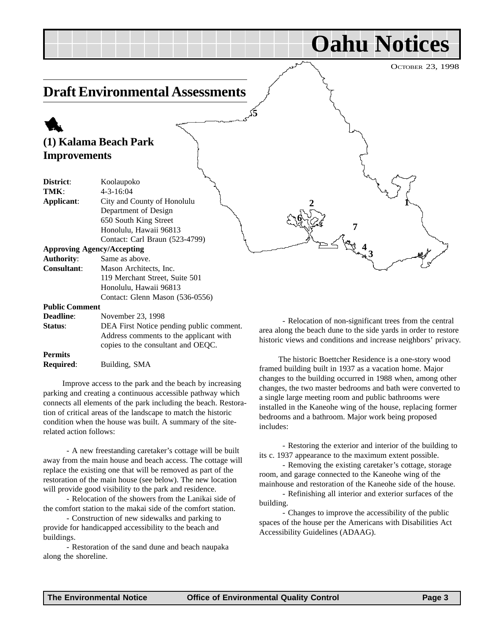OCTOBER 23, 1998

**1**

**Oahu Notices**

# <span id="page-2-0"></span>**Draft Environmental Assessments**

# 1 **(1) Kalama Beach Park Improvements**

| District:             | Koolaupoko                               |
|-----------------------|------------------------------------------|
| TMK:                  | $4 - 3 - 16:04$                          |
| Applicant:            | City and County of Honolulu              |
|                       | Department of Design                     |
|                       | 650 South King Street                    |
|                       | Honolulu, Hawaii 96813                   |
|                       | Contact: Carl Braun (523-4799)           |
|                       | <b>Approving Agency/Accepting</b>        |
| <b>Authority:</b>     | Same as above.                           |
| <b>Consultant:</b>    | Mason Architects, Inc.                   |
|                       | 119 Merchant Street, Suite 501           |
|                       | Honolulu, Hawaii 96813                   |
|                       | Contact: Glenn Mason (536-0556)          |
| <b>Public Comment</b> |                                          |
| <b>Deadline:</b>      | November 23, 1998                        |
| Status:               | DEA First Notice pending public comment. |
|                       | Address comments to the applicant with   |
|                       | copies to the consultant and OEOC.       |

**Permits Required**: Building, SMA

Improve access to the park and the beach by increasing parking and creating a continuous accessible pathway which connects all elements of the park including the beach. Restoration of critical areas of the landscape to match the historic condition when the house was built. A summary of the siterelated action follows:

 - A new freestanding caretaker's cottage will be built away from the main house and beach access. The cottage will replace the existing one that will be removed as part of the restoration of the main house (see below). The new location will provide good visibility to the park and residence.

 - Relocation of the showers from the Lanikai side of the comfort station to the makai side of the comfort station.

 - Construction of new sidewalks and parking to provide for handicapped accessibility to the beach and buildings.

 - Restoration of the sand dune and beach naupaka along the shoreline.

 - Relocation of non-significant trees from the central area along the beach dune to the side yards in order to restore historic views and conditions and increase neighbors' privacy.

**7**

**3 4**

**2**

**6**

**5**

The historic Boettcher Residence is a one-story wood framed building built in 1937 as a vacation home. Major changes to the building occurred in 1988 when, among other changes, the two master bedrooms and bath were converted to a single large meeting room and public bathrooms were installed in the Kaneohe wing of the house, replacing former bedrooms and a bathroom. Major work being proposed includes:

 - Restoring the exterior and interior of the building to its c. 1937 appearance to the maximum extent possible.

 - Removing the existing caretaker's cottage, storage room, and garage connected to the Kaneohe wing of the mainhouse and restoration of the Kaneohe side of the house.

 - Refinishing all interior and exterior surfaces of the building.

 - Changes to improve the accessibility of the public spaces of the house per the Americans with Disabilities Act Accessibility Guidelines (ADAAG).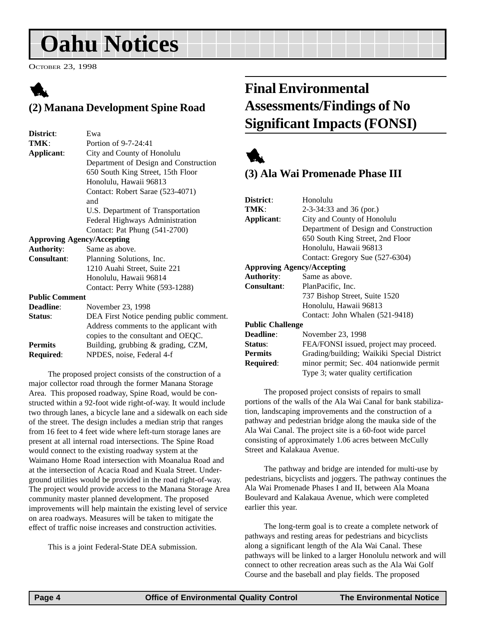# <span id="page-3-0"></span>**Oahu Notices**

OCTOBER 23, 1998

# 1 **(2) Manana Development Spine Road**

| District:             | Ewa                                      |
|-----------------------|------------------------------------------|
| TMK:                  | Portion of 9-7-24:41                     |
| Applicant:            | City and County of Honolulu              |
|                       | Department of Design and Construction    |
|                       | 650 South King Street, 15th Floor        |
|                       | Honolulu, Hawaii 96813                   |
|                       | Contact: Robert Sarae (523-4071)         |
|                       | and                                      |
|                       | U.S. Department of Transportation        |
|                       | Federal Highways Administration          |
|                       | Contact: Pat Phung (541-2700)            |
|                       | <b>Approving Agency/Accepting</b>        |
| <b>Authority:</b>     | Same as above.                           |
| <b>Consultant:</b>    | Planning Solutions, Inc.                 |
|                       | 1210 Auahi Street, Suite 221             |
|                       | Honolulu, Hawaii 96814                   |
|                       | Contact: Perry White (593-1288)          |
| <b>Public Comment</b> |                                          |
| Deadline:             | November 23, 1998                        |
| Status:               | DEA First Notice pending public comment. |
|                       | Address comments to the applicant with   |
|                       | copies to the consultant and OEOC.       |

**Permits** Building, grubbing & grading, CZM,

**Required**: NPDES, noise, Federal 4-f

The proposed project consists of the construction of a major collector road through the former Manana Storage Area. This proposed roadway, Spine Road, would be constructed within a 92-foot wide right-of-way. It would include two through lanes, a bicycle lane and a sidewalk on each side of the street. The design includes a median strip that ranges from 16 feet to 4 feet wide where left-turn storage lanes are present at all internal road intersections. The Spine Road would connect to the existing roadway system at the Waimano Home Road intersection with Moanalua Road and at the intersection of Acacia Road and Kuala Street. Underground utilities would be provided in the road right-of-way. The project would provide access to the Manana Storage Area community master planned development. The proposed improvements will help maintain the existing level of service on area roadways. Measures will be taken to mitigate the effect of traffic noise increases and construction activities.

This is a joint Federal-State DEA submission.

# **Final Environmental Assessments/Findings of No Significant Impacts (FONSI)**



# **(3) Ala Wai Promenade Phase III**

| District:                         | Honolulu                                   |  |  |
|-----------------------------------|--------------------------------------------|--|--|
| TMK:                              | $2-3-34:33$ and 36 (por.)                  |  |  |
| Applicant:                        | City and County of Honolulu                |  |  |
|                                   | Department of Design and Construction      |  |  |
|                                   | 650 South King Street, 2nd Floor           |  |  |
|                                   | Honolulu, Hawaii 96813                     |  |  |
|                                   | Contact: Gregory Sue (527-6304)            |  |  |
| <b>Approving Agency/Accepting</b> |                                            |  |  |
| <b>Authority:</b>                 | Same as above.                             |  |  |
| <b>Consultant:</b>                | PlanPacific, Inc.                          |  |  |
|                                   | 737 Bishop Street, Suite 1520              |  |  |
|                                   | Honolulu, Hawaii 96813                     |  |  |
|                                   | Contact: John Whalen (521-9418)            |  |  |
| <b>Public Challenge</b>           |                                            |  |  |
| Deadline:                         | November 23, 1998                          |  |  |
| <b>Status:</b>                    | FEA/FONSI issued, project may proceed.     |  |  |
| <b>Permits</b>                    | Grading/building; Waikiki Special District |  |  |
| Required:                         | minor permit; Sec. 404 nationwide permit   |  |  |
|                                   | Type 3; water quality certification        |  |  |
|                                   |                                            |  |  |

The proposed project consists of repairs to small portions of the walls of the Ala Wai Canal for bank stabilization, landscaping improvements and the construction of a pathway and pedestrian bridge along the mauka side of the Ala Wai Canal. The project site is a 60-foot wide parcel consisting of approximately 1.06 acres between McCully Street and Kalakaua Avenue.

The pathway and bridge are intended for multi-use by pedestrians, bicyclists and joggers. The pathway continues the Ala Wai Promenade Phases I and II, between Ala Moana Boulevard and Kalakaua Avenue, which were completed earlier this year.

The long-term goal is to create a complete network of pathways and resting areas for pedestrians and bicyclists along a significant length of the Ala Wai Canal. These pathways will be linked to a larger Honolulu network and will connect to other recreation areas such as the Ala Wai Golf Course and the baseball and play fields. The proposed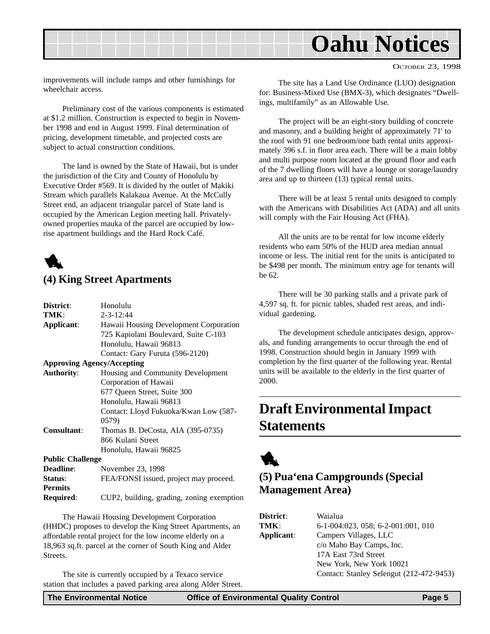<span id="page-4-0"></span>

OCTOBER 23, 1998

improvements will include ramps and other furnishings for wheelchair access.

Preliminary cost of the various components is estimated at \$1.2 million. Construction is expected to begin in November 1998 and end in August 1999. Final determination of pricing, development timetable, and projected costs are subject to actual construction conditions.

The land is owned by the State of Hawaii, but is under the jurisdiction of the City and County of Honolulu by Executive Order #569. It is divided by the outlet of Makiki Stream which parallels Kalakaua Avenue. At the McCully Street end, an adjacent triangular parcel of State land is occupied by the American Legion meeting hall. Privatelyowned properties mauka of the parcel are occupied by lowrise apartment buildings and the Hard Rock Café.



## **(4) King Street Apartments**

| District:               | Honolulu                                  |
|-------------------------|-------------------------------------------|
| TMK:                    | $2 - 3 - 12:44$                           |
| Applicant:              | Hawaii Housing Development Corporation    |
|                         | 725 Kapiolani Boulevard, Suite C-103      |
|                         | Honolulu, Hawaii 96813                    |
|                         | Contact: Gary Furuta (596-2120)           |
|                         | <b>Approving Agency/Accepting</b>         |
| <b>Authority:</b>       | Housing and Community Development         |
|                         | Corporation of Hawaii                     |
|                         | 677 Queen Street, Suite 300               |
|                         | Honolulu, Hawaii 96813                    |
|                         | Contact: Lloyd Fukuoka/Kwan Low (587-     |
|                         | 0579)                                     |
| <b>Consultant:</b>      | Thomas B. DeCosta, AIA (395-0735)         |
|                         | 866 Kulani Street                         |
|                         | Honolulu, Hawaii 96825                    |
| <b>Public Challenge</b> |                                           |
| <b>Deadline:</b>        | November 23, 1998                         |
| Status:                 | FEA/FONSI issued, project may proceed.    |
| <b>Permits</b>          |                                           |
| <b>Required:</b>        | CUP2, building, grading, zoning exemption |

The Hawaii Housing Development Corporation (HHDC) proposes to develop the King Street Apartments, an affordable rental project for the low income elderly on a 18,963 sq.ft. parcel at the corner of South King and Alder Streets.

The site is currently occupied by a Texaco service station that includes a paved parking area along Alder Street.

The site has a Land Use Ordinance (LUO) designation for: Business-Mixed Use (BMX-3), which designates "Dwellings, multifamily" as an Allowable Use.

The project will be an eight-story building of concrete and masonry, and a building height of approximately 71' to the roof with 91 one bedroom/one bath rental units approximately 396 s.f. in floor area each. There will be a main lobby and multi purpose room located at the ground floor and each of the 7 dwelling floors will have a lounge or storage/laundry area and up to thirteen (13) typical rental units.

There will be at least 5 rental units designed to comply with the Americans with Disabilities Act (ADA) and all units will comply with the Fair Housing Act (FHA).

All the units are to be rental for low income elderly residents who earn 50% of the HUD area median annual income or less. The initial rent for the units is anticipated to be \$498 per month. The minimum entry age for tenants will be 62.

There will be 30 parking stalls and a private park of 4,597 sq. ft. for picnic tables, shaded rest areas, and individual gardening.

The development schedule anticipates design, approvals, and funding arrangements to occur through the end of 1998. Construction should begin in January 1999 with completion by the first quarter of the following year. Rental units will be available to the elderly in the first quarter of 2000.

# **Draft Environmental Impact Statements**



## **(5) Pua'ena Campgrounds (Special Management Area)**

| <b>District</b> : | Waialua                                  |
|-------------------|------------------------------------------|
| TMK:              | $6-1-004:023$ , 058; 6-2-001:001, 010    |
| Applicant:        | Campers Villages, LLC                    |
|                   | c/o Maho Bay Camps, Inc.                 |
|                   | 17A East 73rd Street                     |
|                   | New York, New York 10021                 |
|                   | Contact: Stanley Selengut (212-472-9453) |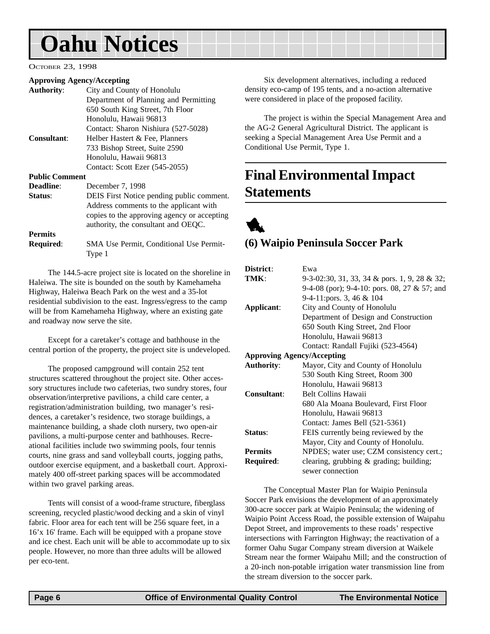# <span id="page-5-0"></span>**Oahu Notices**

#### OCTOBER 23, 1998

#### **Approving Agency/Accepting**

|                       | $ \mu$ $\mu$ $\sim$ $\mu$ $\sim$ $\mu$ $\sim$ $\mu$ $\sim$ $\mu$ $\sim$ $\mu$ |
|-----------------------|-------------------------------------------------------------------------------|
| <b>Authority:</b>     | City and County of Honolulu                                                   |
|                       | Department of Planning and Permitting                                         |
|                       | 650 South King Street, 7th Floor                                              |
|                       | Honolulu, Hawaii 96813                                                        |
|                       | Contact: Sharon Nishiura (527-5028)                                           |
| <b>Consultant:</b>    | Helber Hastert & Fee, Planners                                                |
|                       | 733 Bishop Street, Suite 2590                                                 |
|                       | Honolulu, Hawaii 96813                                                        |
|                       | Contact: Scott Ezer (545-2055)                                                |
| <b>Public Comment</b> |                                                                               |
| Deadline:             | December 7, 1998                                                              |
| Status:               | DEIS First Notice pending public comment.                                     |
|                       | Address comments to the applicant with                                        |
|                       | copies to the approving agency or accepting                                   |
|                       | authority, the consultant and OEQC.                                           |
| <b>Permits</b>        |                                                                               |

**Required**: SMA Use Permit, Conditional Use Permit-Type 1

The 144.5-acre project site is located on the shoreline in Haleiwa. The site is bounded on the south by Kamehameha Highway, Haleiwa Beach Park on the west and a 35-lot residential subdivision to the east. Ingress/egress to the camp will be from Kamehameha Highway, where an existing gate and roadway now serve the site.

Except for a caretaker's cottage and bathhouse in the central portion of the property, the project site is undeveloped.

The proposed campground will contain 252 tent structures scattered throughout the project site. Other accessory structures include two cafeterias, two sundry stores, four observation/interpretive pavilions, a child care center, a registration/administration building, two manager's residences, a caretaker's residence, two storage buildings, a maintenance building, a shade cloth nursery, two open-air pavilions, a multi-purpose center and bathhouses. Recreational facilities include two swimming pools, four tennis courts, nine grass and sand volleyball courts, jogging paths, outdoor exercise equipment, and a basketball court. Approximately 400 off-street parking spaces will be accommodated within two gravel parking areas.

Tents will consist of a wood-frame structure, fiberglass screening, recycled plastic/wood decking and a skin of vinyl fabric. Floor area for each tent will be 256 square feet, in a 16'x 16' frame. Each will be equipped with a propane stove and ice chest. Each unit will be able to accommodate up to six people. However, no more than three adults will be allowed per eco-tent.

Six development alternatives, including a reduced density eco-camp of 195 tents, and a no-action alternative were considered in place of the proposed facility.

The project is within the Special Management Area and the AG-2 General Agricultural District. The applicant is seeking a Special Management Area Use Permit and a Conditional Use Permit, Type 1.

# **Final Environmental Impact Statements**



### **(6) Waipio Peninsula Soccer Park**

| District:                         | Ewa                                          |
|-----------------------------------|----------------------------------------------|
| TMK:                              | 9-3-02:30, 31, 33, 34 & pors. 1, 9, 28 & 32; |
|                                   | 9-4-08 (por); 9-4-10: pors. 08, 27 & 57; and |
|                                   | 9-4-11: pors. 3, 46 & 104                    |
| Applicant:                        | City and County of Honolulu                  |
|                                   | Department of Design and Construction        |
|                                   | 650 South King Street, 2nd Floor             |
|                                   | Honolulu, Hawaii 96813                       |
|                                   | Contact: Randall Fujiki (523-4564)           |
| <b>Approving Agency/Accepting</b> |                                              |
| <b>Authority:</b>                 | Mayor, City and County of Honolulu           |
|                                   | 530 South King Street, Room 300              |
|                                   | Honolulu, Hawaii 96813                       |
| Consultant:                       | <b>Belt Collins Hawaii</b>                   |
|                                   | 680 Ala Moana Boulevard, First Floor         |
|                                   | Honolulu, Hawaii 96813                       |
|                                   | Contact: James Bell (521-5361)               |
| Status:                           | FEIS currently being reviewed by the         |
|                                   | Mayor, City and County of Honolulu.          |
| <b>Permits</b>                    | NPDES; water use; CZM consistency cert.;     |
| <b>Required:</b>                  | clearing, grubbing $\&$ grading; building;   |
|                                   | sewer connection                             |

The Conceptual Master Plan for Waipio Peninsula Soccer Park envisions the development of an approximately 300-acre soccer park at Waipio Peninsula; the widening of Waipio Point Access Road, the possible extension of Waipahu Depot Street, and improvements to these roads' respective intersections with Farrington Highway; the reactivation of a former Oahu Sugar Company stream diversion at Waikele Stream near the former Waipahu Mill; and the construction of a 20-inch non-potable irrigation water transmission line from the stream diversion to the soccer park.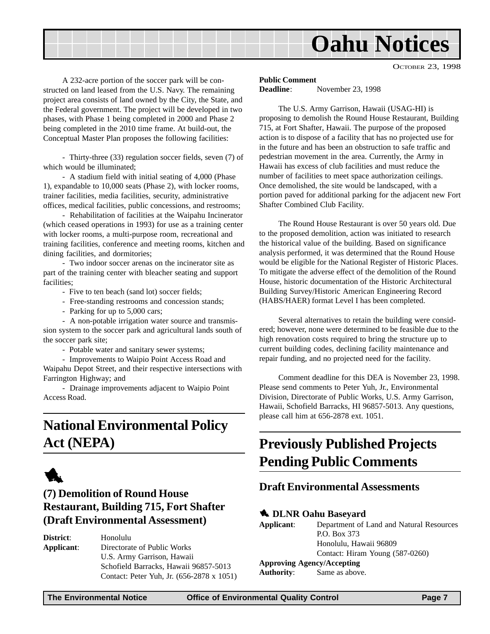<span id="page-6-0"></span>

OCTOBER 23, 1998

A 232-acre portion of the soccer park will be constructed on land leased from the U.S. Navy. The remaining project area consists of land owned by the City, the State, and the Federal government. The project will be developed in two phases, with Phase 1 being completed in 2000 and Phase 2 being completed in the 2010 time frame. At build-out, the Conceptual Master Plan proposes the following facilities:

- Thirty-three (33) regulation soccer fields, seven (7) of which would be illuminated;

- A stadium field with initial seating of 4,000 (Phase 1), expandable to 10,000 seats (Phase 2), with locker rooms, trainer facilities, media facilities, security, administrative offices, medical facilities, public concessions, and restrooms;

- Rehabilitation of facilities at the Waipahu Incinerator (which ceased operations in 1993) for use as a training center with locker rooms, a multi-purpose room, recreational and training facilities, conference and meeting rooms, kitchen and dining facilities, and dormitories;

- Two indoor soccer arenas on the incinerator site as part of the training center with bleacher seating and support facilities;

- Five to ten beach (sand lot) soccer fields;
- Free-standing restrooms and concession stands;
- Parking for up to 5,000 cars;

- A non-potable irrigation water source and transmission system to the soccer park and agricultural lands south of the soccer park site;

- Potable water and sanitary sewer systems;

- Improvements to Waipio Point Access Road and Waipahu Depot Street, and their respective intersections with Farrington Highway; and

- Drainage improvements adjacent to Waipio Point Access Road.

# **National Environmental Policy Act (NEPA)**



# **(7) Demolition of Round House Restaurant, Building 715, Fort Shafter (Draft Environmental Assessment)**

**District**: Honolulu **Applicant**: Directorate of Public Works U.S. Army Garrison, Hawaii Schofield Barracks, Hawaii 96857-5013 Contact: Peter Yuh, Jr. (656-2878 x 1051)

#### **Public Comment**

**Deadline**: November 23, 1998

The U.S. Army Garrison, Hawaii (USAG-HI) is proposing to demolish the Round House Restaurant, Building 715, at Fort Shafter, Hawaii. The purpose of the proposed action is to dispose of a facility that has no projected use for in the future and has been an obstruction to safe traffic and pedestrian movement in the area. Currently, the Army in Hawaii has excess of club facilities and must reduce the number of facilities to meet space authorization ceilings. Once demolished, the site would be landscaped, with a portion paved for additional parking for the adjacent new Fort Shafter Combined Club Facility.

The Round House Restaurant is over 50 years old. Due to the proposed demolition, action was initiated to research the historical value of the building. Based on significance analysis performed, it was determined that the Round House would be eligible for the National Register of Historic Places. To mitigate the adverse effect of the demolition of the Round House, historic documentation of the Historic Architectural Building Survey/Historic American Engineering Record (HABS/HAER) format Level I has been completed.

Several alternatives to retain the building were considered; however, none were determined to be feasible due to the high renovation costs required to bring the structure up to current building codes, declining facility maintenance and repair funding, and no projected need for the facility.

Comment deadline for this DEA is November 23, 1998. Please send comments to Peter Yuh, Jr., Environmental Division, Directorate of Public Works, U.S. Army Garrison, Hawaii, Schofield Barracks, HI 96857-5013. Any questions, please call him at 656-2878 ext. 1051.

# **Previously Published Projects Pending Public Comments**

#### **Draft Environmental Assessments**

#### **1** DLNR Oahu Basevard

**Applicant**: Department of Land and Natural Resources P.O. Box 373 Honolulu, Hawaii 96809 Contact: Hiram Young (587-0260) **Approving Agency/Accepting Authority**: Same as above.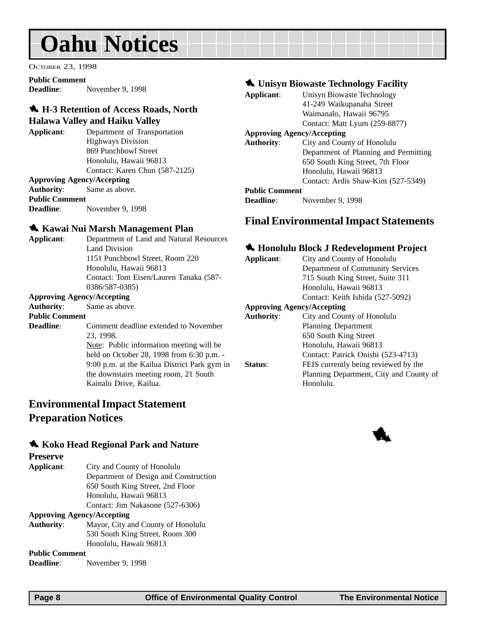# <span id="page-7-0"></span>**Oahu Notices**

OCTOBER 23, 1998

**Public Comment Deadline**: November 9, 1998

# 1 **H-3 Retention of Access Roads, North**

#### **Halawa Valley and Haiku Valley**

**Applicant**: Department of Transportation Highways Division 869 Punchbowl Street Honolulu, Hawaii 96813 Contact: Karen Chun (587-2125) **Approving Agency/Accepting**

**Authority**: Same as above. **Public Comment Deadline**: November 9, 1998

#### 1 **Kawai Nui Marsh Management Plan**

| Applicant: | Department of Land and Natural Resources |
|------------|------------------------------------------|
|            | Land Division                            |
|            | 1151 Punchbowl Street, Room 220          |
|            | Honolulu, Hawaii 96813                   |
|            | Contact: Tom Eisen/Lauren Tanaka (587-   |
|            | 0386/587-0385)                           |
|            | <b>Approving Agency/Accepting</b>        |
|            | $\blacksquare$                           |

**Authority**: Same as above. **Public Comment Deadline:** Comment deadline extended to November 23, 1998. Note: Public information meeting will be held on October 28, 1998 from 6:30 p.m. - 9:00 p.m. at the Kailua District Park gym in the downstairs meeting room, 21 South Kainalu Drive, Kailua.

## **Environmental Impact Statement Preparation Notices**

#### 1 **Koko Head Regional Park and Nature**

#### **Preserve**

**Applicant**: City and County of Honolulu Department of Design and Construction 650 South King Street, 2nd Floor Honolulu, Hawaii 96813 Contact: Jim Nakasone (527-6306)

**Approving Agency/Accepting**

**Authority**: Mayor, City and County of Honolulu 530 South King Street, Room 300 Honolulu, Hawaii 96813

**Public Comment**

**Deadline**: November 9, 1998

#### **1.** Unisyn Biowaste Technology Facility

| Applicant:            | Unisyn Biowaste Technology            |
|-----------------------|---------------------------------------|
|                       | 41-249 Waikupanaha Street             |
|                       | Waimanalo, Hawaii 96795               |
|                       | Contact: Matt Lyum (259-8877)         |
|                       | <b>Approving Agency/Accepting</b>     |
| <b>Authority:</b>     | City and County of Honolulu           |
|                       | Department of Planning and Permitting |
|                       | 650 South King Street, 7th Floor      |
|                       | Honolulu, Hawaii 96813                |
|                       | Contact: Ardis Shaw-Kim (527-5349)    |
| <b>Public Comment</b> |                                       |
| <b>Deadline:</b>      | November 9, 1998                      |

### **Final Environmental Impact Statements**

#### 1 **Honolulu Block J Redevelopment Project**

| Applicant:        | City and County of Honolulu             |
|-------------------|-----------------------------------------|
|                   | Department of Community Services        |
|                   | 715 South King Street, Suite 311        |
|                   | Honolulu, Hawaii 96813                  |
|                   | Contact: Keith Ishida (527-5092)        |
|                   | <b>Approving Agency/Accepting</b>       |
| <b>Authority:</b> | City and County of Honolulu             |
|                   | <b>Planning Department</b>              |
|                   | 650 South King Street                   |
|                   | Honolulu, Hawaii 96813                  |
|                   | Contact: Patrick Onishi (523-4713)      |
| Status:           | FEIS currently being reviewed by the    |
|                   | Planning Department, City and County of |
|                   | Honolulu.                               |
|                   |                                         |

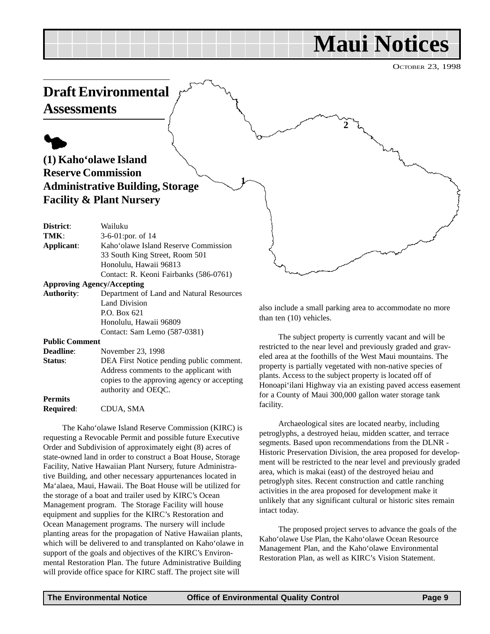# **Maui Notices**

OCTOBER 23, 1998

<span id="page-8-0"></span>

requesting a Revocable Permit and possible future Executive Order and Subdivision of approximately eight (8) acres of state-owned land in order to construct a Boat House, Storage Facility, Native Hawaiian Plant Nursery, future Administrative Building, and other necessary appurtenances located in Ma'alaea, Maui, Hawaii. The Boat House will be utilized for the storage of a boat and trailer used by KIRC's Ocean Management program. The Storage Facility will house equipment and supplies for the KIRC's Restoration and Ocean Management programs. The nursery will include planting areas for the propagation of Native Hawaiian plants, which will be delivered to and transplanted on Kaho'olawe in support of the goals and objectives of the KIRC's Environmental Restoration Plan. The future Administrative Building will provide office space for KIRC staff. The project site will

petroglyphs, a destroyed heiau, midden scatter, and terrace segments. Based upon recommendations from the DLNR - Historic Preservation Division, the area proposed for development will be restricted to the near level and previously graded area, which is makai (east) of the destroyed heiau and petroglyph sites. Recent construction and cattle ranching activities in the area proposed for development make it unlikely that any significant cultural or historic sites remain intact today.

The proposed project serves to advance the goals of the Kaho'olawe Use Plan, the Kaho'olawe Ocean Resource Management Plan, and the Kaho'olawe Environmental Restoration Plan, as well as KIRC's Vision Statement.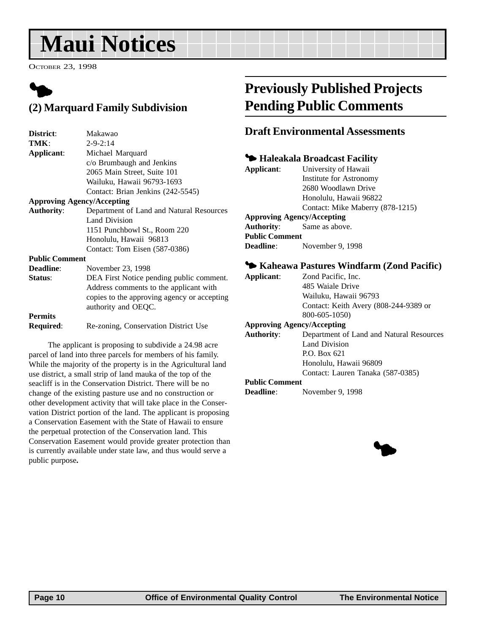# <span id="page-9-0"></span>**Maui Notices**

OCTOBER 23, 1998

# $\blacklozenge$ **(2) Marquard Family Subdivision**

| District:             | Makawao                                     |
|-----------------------|---------------------------------------------|
| TMK:                  | $2 - 9 - 2:14$                              |
| Applicant:            | Michael Marquard                            |
|                       | c/o Brumbaugh and Jenkins                   |
|                       | 2065 Main Street, Suite 101                 |
|                       | Wailuku, Hawaii 96793-1693                  |
|                       | Contact: Brian Jenkins (242-5545)           |
|                       | <b>Approving Agency/Accepting</b>           |
| <b>Authority:</b>     | Department of Land and Natural Resources    |
|                       | <b>Land Division</b>                        |
|                       | 1151 Punchbowl St., Room 220                |
|                       | Honolulu, Hawaii 96813                      |
|                       | Contact: Tom Eisen (587-0386)               |
| <b>Public Comment</b> |                                             |
| <b>Deadline:</b>      | November 23, 1998                           |
| Status:               | DEA First Notice pending public comment.    |
|                       | Address comments to the applicant with      |
|                       | copies to the approving agency or accepting |
|                       | authority and OEQC.                         |
| <b>Permits</b>        |                                             |
| Required:             | Re-zoning, Conservation District Use        |
|                       |                                             |

The applicant is proposing to subdivide a 24.98 acre parcel of land into three parcels for members of his family. While the majority of the property is in the Agricultural land use district, a small strip of land mauka of the top of the seacliff is in the Conservation District. There will be no change of the existing pasture use and no construction or other development activity that will take place in the Conservation District portion of the land. The applicant is proposing a Conservation Easement with the State of Hawaii to ensure the perpetual protection of the Conservation land. This Conservation Easement would provide greater protection than is currently available under state law, and thus would serve a public purpose**.**

# **Previously Published Projects Pending Public Comments**

### **Draft Environmental Assessments**

### 3 **Haleakala Broadcast Facility**

| Applicant:                        | University of Hawaii             |
|-----------------------------------|----------------------------------|
|                                   | Institute for Astronomy          |
|                                   | 2680 Woodlawn Drive              |
|                                   | Honolulu, Hawaii 96822           |
|                                   | Contact: Mike Maberry (878-1215) |
| <b>Approving Agency/Accepting</b> |                                  |
| <b>Authority:</b> Same as above.  |                                  |
| <b>Public Comment</b>             |                                  |
| <b>Deadline:</b>                  | November 9, 1998                 |
|                                   |                                  |

#### 3 **Kaheawa Pastures Windfarm (Zond Pacific)**

| Zond Pacific, Inc.                       |
|------------------------------------------|
| 485 Waiale Drive                         |
| Wailuku, Hawaii 96793                    |
| Contact: Keith Avery (808-244-9389 or    |
| 800-605-1050)                            |
| <b>Approving Agency/Accepting</b>        |
| Department of Land and Natural Resources |
| Land Division                            |
| $P.$ Box 621                             |
| Honolulu, Hawaii 96809                   |
| Contact: Lauren Tanaka (587-0385)        |
| <b>Public Comment</b>                    |
|                                          |

**Deadline**: November 9, 1998

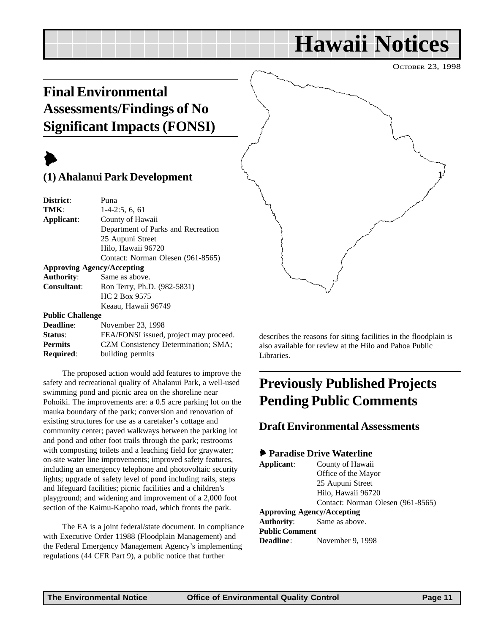# **Hawaii Notices**

OCTOBER 23, 1998

# <span id="page-10-0"></span>**Final Environmental Assessments/Findings of No Significant Impacts (FONSI)**

# $\blacktriangleright$

## **(1) Ahalanui Park Development**

| District:                                                                 | Puna                                       |
|---------------------------------------------------------------------------|--------------------------------------------|
| TMK:                                                                      | $1-4-2:5, 6, 61$                           |
| Applicant:                                                                | County of Hawaii                           |
|                                                                           | Department of Parks and Recreation         |
|                                                                           | 25 Aupuni Street                           |
|                                                                           | Hilo, Hawaii 96720                         |
|                                                                           | Contact: Norman Olesen (961-8565)          |
|                                                                           | <b>Approving Agency/Accepting</b>          |
| Authority:                                                                | Same as above.                             |
| <b>Consultant:</b>                                                        | Ron Terry, Ph.D. (982-5831)                |
|                                                                           | <b>HC 2 Box 9575</b>                       |
|                                                                           | Keaau, Hawaii 96749                        |
| <b>Public Challenge</b>                                                   |                                            |
| $\mathbf{D} \cdot \mathbf{A}$ . The same of $\mathbf{D} \cdot \mathbf{A}$ | $\mathbf{M} = \mathbf{M} \cdot \mathbf{A}$ |

| <b>Deadline:</b> | November 23, 1998                      |
|------------------|----------------------------------------|
| Status:          | FEA/FONSI issued, project may proceed. |
| <b>Permits</b>   | CZM Consistency Determination; SMA;    |
| <b>Required:</b> | building permits                       |

The proposed action would add features to improve the safety and recreational quality of Ahalanui Park, a well-used swimming pond and picnic area on the shoreline near Pohoiki. The improvements are: a 0.5 acre parking lot on the mauka boundary of the park; conversion and renovation of existing structures for use as a caretaker's cottage and community center; paved walkways between the parking lot and pond and other foot trails through the park; restrooms with composting toilets and a leaching field for graywater; on-site water line improvements; improved safety features, including an emergency telephone and photovoltaic security lights; upgrade of safety level of pond including rails, steps and lifeguard facilities; picnic facilities and a children's playground; and widening and improvement of a 2,000 foot section of the Kaimu-Kapoho road, which fronts the park.

The EA is a joint federal/state document. In compliance with Executive Order 11988 (Floodplain Management) and the Federal Emergency Management Agency's implementing regulations (44 CFR Part 9), a public notice that further



describes the reasons for siting facilities in the floodplain is also available for review at the Hilo and Pahoa Public Libraries.

# **Previously Published Projects Pending Public Comments**

### **Draft Environmental Assessments**

#### 6 **Paradise Drive Waterline**

| Applicant:                        | County of Hawaii                  |
|-----------------------------------|-----------------------------------|
|                                   | Office of the Mayor               |
|                                   | 25 Aupuni Street                  |
|                                   | Hilo, Hawaii 96720                |
|                                   | Contact: Norman Olesen (961-8565) |
| <b>Approving Agency/Accepting</b> |                                   |
| <b>Authority:</b> Same as above.  |                                   |
| <b>Public Comment</b>             |                                   |
| <b>Deadline</b> :                 | November 9, 1998                  |
|                                   |                                   |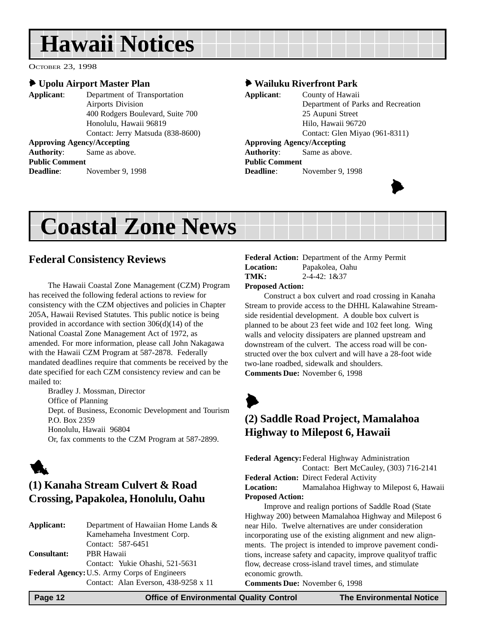# <span id="page-11-0"></span>**Hawaii Notices**

OCTOBER 23, 1998

#### 6 **Upolu Airport Master Plan**

**Applicant**: Department of Transportation Airports Division 400 Rodgers Boulevard, Suite 700 Honolulu, Hawaii 96819 Contact: Jerry Matsuda (838-8600) **Approving Agency/Accepting Authority**: Same as above. **Public Comment Deadline**: November 9, 1998

#### 6 **Wailuku Riverfront Park**

| Applicant:            | County of Hawaii                   |  |  |  |
|-----------------------|------------------------------------|--|--|--|
|                       | Department of Parks and Recreation |  |  |  |
|                       | 25 Aupuni Street                   |  |  |  |
|                       | Hilo, Hawaii 96720                 |  |  |  |
|                       | Contact: Glen Miyao (961-8311)     |  |  |  |
|                       | <b>Approving Agency/Accepting</b>  |  |  |  |
|                       | <b>Authority:</b> Same as above.   |  |  |  |
| <b>Public Comment</b> |                                    |  |  |  |
| <b>Deadline:</b>      | November 9, 1998                   |  |  |  |
|                       |                                    |  |  |  |



# **Coastal Zone News**

## **Federal Consistency Reviews**

The Hawaii Coastal Zone Management (CZM) Program has received the following federal actions to review for consistency with the CZM objectives and policies in Chapter 205A, Hawaii Revised Statutes. This public notice is being provided in accordance with section 306(d)(14) of the National Coastal Zone Management Act of 1972, as amended. For more information, please call John Nakagawa with the Hawaii CZM Program at 587-2878. Federally mandated deadlines require that comments be received by the date specified for each CZM consistency review and can be mailed to:

Bradley J. Mossman, Director Office of Planning Dept. of Business, Economic Development and Tourism P.O. Box 2359 Honolulu, Hawaii 96804 Or, fax comments to the CZM Program at 587-2899.



# **(1) Kanaha Stream Culvert & Road Crossing, Papakolea, Honolulu, Oahu**

| Applicant:                                          | Department of Hawaiian Home Lands &  |  |  |
|-----------------------------------------------------|--------------------------------------|--|--|
|                                                     | Kamehameha Investment Corp.          |  |  |
|                                                     | Contact: 587-6451                    |  |  |
| <b>Consultant:</b>                                  | PBR Hawaii                           |  |  |
|                                                     | Contact: Yukie Ohashi, 521-5631      |  |  |
| <b>Federal Agency: U.S. Army Corps of Engineers</b> |                                      |  |  |
|                                                     | Contact: Alan Everson, 438-9258 x 11 |  |  |

#### **Federal Action:** Department of the Army Permit **Location:** Papakolea, Oahu **TMK:** 2-4-42: 1&37

#### **Proposed Action:**

Construct a box culvert and road crossing in Kanaha Stream to provide access to the DHHL Kalawahine Streamside residential development. A double box culvert is planned to be about 23 feet wide and 102 feet long. Wing walls and velocity dissipaters are planned upstream and downstream of the culvert. The access road will be constructed over the box culvert and will have a 28-foot wide two-lane roadbed, sidewalk and shoulders. **Comments Due:** November 6, 1998

 $\blacktriangleright$ 

## **(2) Saddle Road Project, Mamalahoa Highway to Milepost 6, Hawaii**

**Federal Agency:**Federal Highway Administration Contact: Bert McCauley, (303) 716-2141 **Federal Action:** Direct Federal Activity

**Location:** Mamalahoa Highway to Milepost 6, Hawaii **Proposed Action:**

Improve and realign portions of Saddle Road (State Highway 200) between Mamalahoa Highway and Milepost 6 near Hilo. Twelve alternatives are under consideration incorporating use of the existing alignment and new alignments. The project is intended to improve pavement conditions, increase safety and capacity, improve qualityof traffic flow, decrease cross-island travel times, and stimulate economic growth.

**Comments Due:** November 6, 1998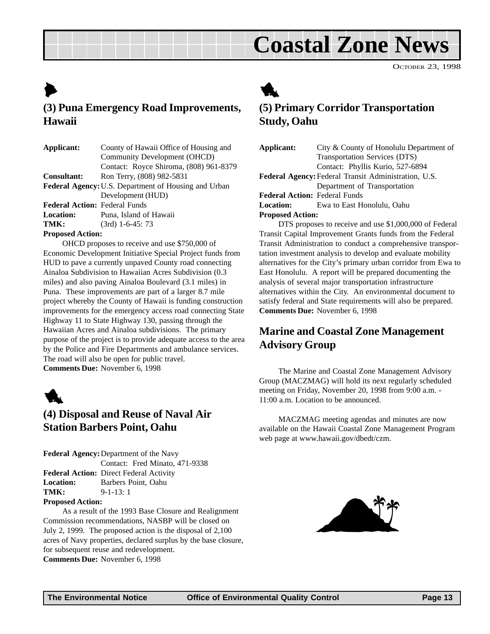# **Coastal Zone News**

OCTOBER 23, 1998

# <span id="page-12-0"></span> $\blacktriangleright$ **(3) Puna Emergency Road Improvements, Hawaii**

| Applicant:                                           | County of Hawaii Office of Housing and |  |  |  |
|------------------------------------------------------|----------------------------------------|--|--|--|
|                                                      | Community Development (OHCD)           |  |  |  |
|                                                      | Contact: Royce Shiroma, (808) 961-8379 |  |  |  |
| <b>Consultant:</b>                                   | Ron Terry, (808) 982-5831              |  |  |  |
| Federal Agency: U.S. Department of Housing and Urban |                                        |  |  |  |
|                                                      | Development (HUD)                      |  |  |  |
| <b>Federal Action: Federal Funds</b>                 |                                        |  |  |  |
| <b>Location:</b>                                     | Puna, Island of Hawaii                 |  |  |  |
| TMK:                                                 | $(3rd)$ 1-6-45: 73                     |  |  |  |
|                                                      |                                        |  |  |  |

#### **Proposed Action:**

OHCD proposes to receive and use \$750,000 of Economic Development Initiative Special Project funds from HUD to pave a currently unpaved County road connecting Ainaloa Subdivision to Hawaiian Acres Subdivision (0.3 miles) and also paving Ainaloa Boulevard (3.1 miles) in Puna. These improvements are part of a larger 8.7 mile project whereby the County of Hawaii is funding construction improvements for the emergency access road connecting State Highway 11 to State Highway 130, passing through the Hawaiian Acres and Ainaloa subdivisions. The primary purpose of the project is to provide adequate access to the area by the Police and Fire Departments and ambulance services. The road will also be open for public travel. **Comments Due:** November 6, 1998



## **(4) Disposal and Reuse of Naval Air Station Barbers Point, Oahu**

**Federal Agency:**Department of the Navy Contact: Fred Minato, 471-9338 **Federal Action:** Direct Federal Activity **Location:** Barbers Point, Oahu **TMK:** 9-1-13: 1

**Proposed Action:**

As a result of the 1993 Base Closure and Realignment Commission recommendations, NASBP will be closed on July 2, 1999. The proposed action is the disposal of 2,100 acres of Navy properties, declared surplus by the base closure, for subsequent reuse and redevelopment. **Comments Due:** November 6, 1998

1

## **(5) Primary Corridor Transportation Study, Oahu**

**Applicant:** City & County of Honolulu Department of Transportation Services (DTS) Contact: Phyllis Kurio, 527-6894 **Federal Agency:**Federal Transit Administration, U.S. Department of Transportation **Federal Action:** Federal Funds **Location:** Ewa to East Honolulu, Oahu **Proposed Action:**

DTS proposes to receive and use \$1,000,000 of Federal Transit Capital Improvement Grants funds from the Federal Transit Administration to conduct a comprehensive transportation investment analysis to develop and evaluate mobility alternatives for the City's primary urban corridor from Ewa to East Honolulu. A report will be prepared documenting the analysis of several major transportation infrastructure alternatives within the City. An environmental document to satisfy federal and State requirements will also be prepared. **Comments Due:** November 6, 1998

# **Marine and Coastal Zone Management Advisory Group**

The Marine and Coastal Zone Management Advisory Group (MACZMAG) will hold its next regularly scheduled meeting on Friday, November 20, 1998 from 9:00 a.m. - 11:00 a.m. Location to be announced.

MACZMAG meeting agendas and minutes are now available on the Hawaii Coastal Zone Management Program web page at www.hawaii.gov/dbedt/czm.

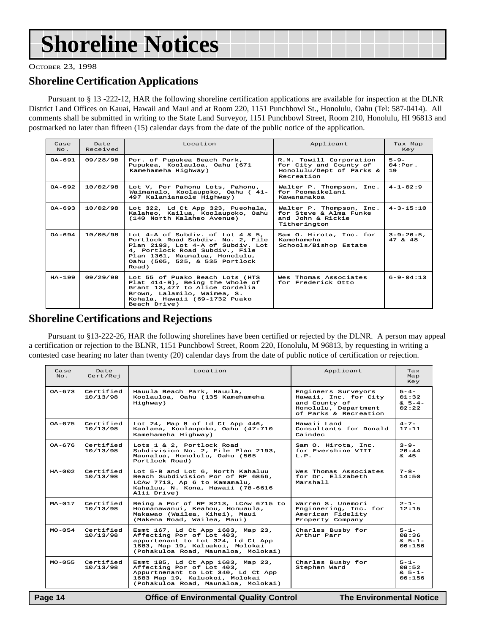# **Shoreline Notices**

OCTOBER 23, 1998

### **Shoreline Certification Applications**

Pursuant to § 13 -222-12, HAR the following shoreline certification applications are available for inspection at the DLNR District Land Offices on Kauai, Hawaii and Maui and at Room 220, 1151 Punchbowl St., Honolulu, Oahu (Tel: 587-0414). All comments shall be submitted in writing to the State Land Surveyor, 1151 Punchbowl Street, Room 210, Honolulu, HI 96813 and postmarked no later than fifteen (15) calendar days from the date of the public notice of the application.

| Case<br>$NQ$ . | Date<br>Received | Location                                                                                                                                                                                                                        | Applicant                                                      | Tax Map<br>Key                     |
|----------------|------------------|---------------------------------------------------------------------------------------------------------------------------------------------------------------------------------------------------------------------------------|----------------------------------------------------------------|------------------------------------|
| $0A - 691$     | 09/28/98         | R.M. Towill Corporation<br>Por. of Pupukea Beach Park,<br>Pupukea, Koolauloa, Oahu (671<br>for City and County of<br>Honolulu/Dept of Parks &<br>Kamehameha Highway)<br>Recreation                                              |                                                                | $5 - 9 -$<br>04:Por.<br>19         |
| $0A-692$       | 10/02/98         | Lot V, Por Pahonu Lots, Pahonu,<br>Walter P. Thompson, Inc.<br>Waimanalo, Koolaupoko, Oahu (41-<br>for Poomaikelani<br>497 Kalanianaole Highway)<br>Kawananakoa                                                                 |                                                                | $4 - 1 - 02:9$                     |
| $0A - 693$     | 10/02/98         | Lot 322, Ld Ct App 323, Pueohala,<br>Walter P. Thompson, Inc.<br>for Steve & Alma Funke<br>Kalaheo, Kailua, Koolaupoko, Oahu<br>(140 North Kalaheo Avenue)<br>and John & Rickie<br>Titherington                                 |                                                                | $4 - 3 - 15:10$                    |
| $OA - 694$     | 10/05/98         | Lot $4-A$ of Subdiv. of Lot $4 \& 5$ .<br>Portlock Road Subdiv. No. 2, File<br>Plan 2193, Lot 4-A of Subdiv. Lot<br>4, Portlock Road Subdiv., File<br>Plan 1361, Maunalua, Honolulu,<br>Oahu (505, 525, & 535 Portlock<br>Road) | Sam O. Hirota, Inc. for<br>Kamehameha<br>Schools/Bishop Estate | $3 - 9 - 26:5$ ,<br>$47 \times 48$ |
| $HA - 199$     | 09/29/98         | Lot 55 of Puako Beach Lots (HTS<br>Plat 414-B), Being the Whole of<br>Grant 13,477 to Alice Cordelia<br>Brown, Lalamilo, Waimea, S.<br>Kohala, Hawaii (69-1732 Puako<br>Beach Drive)                                            | Wes Thomas Associates<br>for Frederick Otto                    | $6 - 9 - 04:13$                    |

### **Shoreline Certifications and Rejections**

Pursuant to §13-222-26, HAR the following shorelines have been certified or rejected by the DLNR. A person may appeal a certification or rejection to the BLNR, 1151 Punchbowl Street, Room 220, Honolulu, M 96813, by requesting in writing a contested case hearing no later than twenty (20) calendar days from the date of public notice of certification or rejection.

| Date<br>Cert/Rej      | Location<br>Applicant                                                                                                                                                                                                          |                                                                                                                | Tax<br>Map<br>Key                           |
|-----------------------|--------------------------------------------------------------------------------------------------------------------------------------------------------------------------------------------------------------------------------|----------------------------------------------------------------------------------------------------------------|---------------------------------------------|
| Certified<br>10/13/98 | Hauula Beach Park, Hauula,<br>Koolauloa, Oahu (135 Kamehameha<br>Highway)                                                                                                                                                      | Engineers Surveyors<br>Hawaii, Inc. for City<br>and County of<br>Honolulu, Department<br>of Parks & Recreation |                                             |
| Certified<br>10/13/98 | Hawaii Land<br>Lot 24, Map 8 of Ld Ct App 446,<br>Kaalaea, Koolaupoko, Oahu (47-710<br>Consultants for Donald<br>Kamehameha Highway)<br>Caindec                                                                                |                                                                                                                | $4 - 7 -$<br>17:11                          |
| Certified<br>10/13/98 | Lots 1 & 2, Portlock Road<br>Sam O. Hirota, Inc.<br>Subdivision No. 2, File Plan 2193,<br>for Evershine VIII<br>Maunalua, Honolulu, Oahu (565<br>$T_{1}$ , $P_{2}$<br>Portlock Road)                                           |                                                                                                                | $3 - 9 -$<br>26:44<br>& 45                  |
| Certified<br>10/13/98 | Lot 5-B and Lot 6, North Kahaluu<br>Beach Subdivision Por of RP 6856,<br>LCAw 7713, Ap 6 to Kamamalu,<br>Kahaluu, N. Kona, Hawaii (78-6616<br>Alii Drive)                                                                      | Wes Thomas Associates<br>for Dr. Elizabeth<br>Marshall                                                         |                                             |
| Certified<br>10/13/98 | Being a Por of RP 8213, LCAw 6715 to<br>Warren S. Unemori<br>Engineering, Inc. for<br>Hoomanawanui, Keahou, Honuaula,<br>Makawao (Wailea, Kihei), Maui<br>American Fidelity<br>(Makena Road, Wailea, Maui)<br>Property Company |                                                                                                                | $2 - 1 -$<br>12:15                          |
| Certified<br>10/13/98 | Esmt 167, Ld Ct App 1683, Map 23,<br>Affecting Por of Lot 403,<br>appurtenant to Lot 324, Ld Ct App<br>1683, Map 19, Kaluakoi, Molokai<br>(Pohakuloa Road, Maunaloa, Molokai)                                                  | Charles Busby for<br>Arthur Parr                                                                               |                                             |
| Certified<br>10/13/98 | Esmt 185, Ld Ct App 1683, Map 23,<br>Affecting Por of Lot 403,<br>Appurtnenant to Lot 340, Ld Ct App<br>1683 Map 19, Kaluokoi, Molokai<br>(Pohakuloa Road, Maunaloa, Molokai)                                                  | Charles Busby for<br>Stephen Ward                                                                              | $5 - 1 -$<br>08:52<br>$& 5 - 1 -$<br>06:156 |
|                       |                                                                                                                                                                                                                                |                                                                                                                |                                             |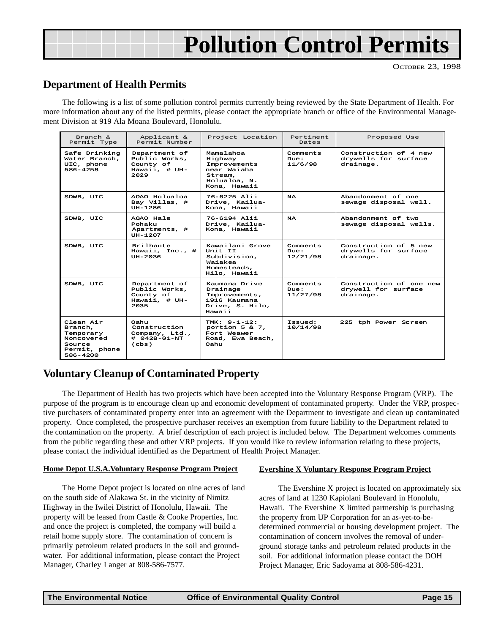# <span id="page-14-0"></span>**Pollution Control Permits**

## **Department of Health Permits**

The following is a list of some pollution control permits currently being reviewed by the State Department of Health. For more information about any of the listed permits, please contact the appropriate branch or office of the Environmental Management Division at 919 Ala Moana Boulevard, Honolulu.

| Branch &<br>Permit Type                                                                | Applicant &<br>Permit Number                                                 | Project Location                                                                               | Pertinent<br>Dates           | Proposed Use                                                |
|----------------------------------------------------------------------------------------|------------------------------------------------------------------------------|------------------------------------------------------------------------------------------------|------------------------------|-------------------------------------------------------------|
| Safe Drinking<br>Water Branch,<br>UIC, phone<br>$586 - 4258$                           | Department of<br>Public Works,<br>County of<br>Hawaii. # UH-<br>2029         | Mamalahoa<br>Highway<br>Improvements<br>near Waiaha<br>Stream.<br>Holualoa. N.<br>Kona, Hawaii | Comments<br>Due:<br>11/6/98  | Construction of 4 new<br>drywells for surface<br>drainage.  |
| SDWB, UIC                                                                              | AOAO Holualoa<br>Bay Villas, #<br>UH-1286                                    | 76-6225 Alii<br>Drive, Kailua-<br>Kona, Hawaii                                                 | <b>NA</b>                    | Abandonment of one<br>sewage disposal well.                 |
| SDWB, UIC                                                                              | AOAO Hale<br>Pohaku<br>Apartments, #<br>UH-1207                              | 76-6194 Alii<br>Drive, Kailua-<br>Kona, Hawaii                                                 | <b>NA</b>                    | Abandonment of two<br>sewage disposal wells.                |
| SDWB, UIC                                                                              | Brilhante<br>Hawaii, Inc., #<br>UH-2036                                      | Kawailani Grove<br>Unit. IT<br>Subdivision.<br>Waiakea<br>Homesteads.<br>Hilo, Hawaii          | Comments<br>Due:<br>12/21/98 | Construction of 5 new<br>drywells for surface<br>drainage.  |
| SDWB, UIC                                                                              | Department of<br>Public Works,<br>County of<br>Hawaii, # UH-<br>2035         | Kaumana Drive<br>Drainage<br>Improvements,<br>1916 Kaumana<br>Drive, S. Hilo,<br>Hawaii        | Comments<br>Due:<br>11/27/98 | Construction of one new<br>drywell for surface<br>drainage. |
| Clean Air<br>Branch,<br>Temporary<br>Noncovered<br>Source<br>Permit, phone<br>586-4200 | Oahu.<br>Construction<br>Company, Ltd.,<br>$# 0428 - 01 - NT$<br>$($ c $bs)$ | TMK: $9 - 1 - 12$ :<br>portion $5 & 7$ ,<br>Fort Weawer<br>Road, Ewa Beach,<br>Oahu            | :bauaaT<br>10/14/98          | 225 tph Power Screen                                        |

## **Voluntary Cleanup of Contaminated Property**

The Department of Health has two projects which have been accepted into the Voluntary Response Program (VRP). The purpose of the program is to encourage clean up and economic development of contaminated property. Under the VRP, prospective purchasers of contaminated property enter into an agreement with the Department to investigate and clean up contaminated property. Once completed, the prospective purchaser receives an exemption from future liability to the Department related to the contamination on the property. A brief description of each project is included below. The Department welcomes comments from the public regarding these and other VRP projects. If you would like to review information relating to these projects, please contact the individual identified as the Department of Health Project Manager.

#### **Home Depot U.S.A.Voluntary Response Program Project**

The Home Depot project is located on nine acres of land on the south side of Alakawa St. in the vicinity of Nimitz Highway in the Iwilei District of Honolulu, Hawaii. The property will be leased from Castle & Cooke Properties, Inc. and once the project is completed, the company will build a retail home supply store. The contamination of concern is primarily petroleum related products in the soil and groundwater. For additional information, please contact the Project Manager, Charley Langer at 808-586-7577.

#### **Evershine X Voluntary Response Program Project**

The Evershine X project is located on approximately six acres of land at 1230 Kapiolani Boulevard in Honolulu, Hawaii. The Evershine X limited partnership is purchasing the property from UP Corporation for an as-yet-to-bedetermined commercial or housing development project. The contamination of concern involves the removal of underground storage tanks and petroleum related products in the soil. For additional information please contact the DOH Project Manager, Eric Sadoyama at 808-586-4231.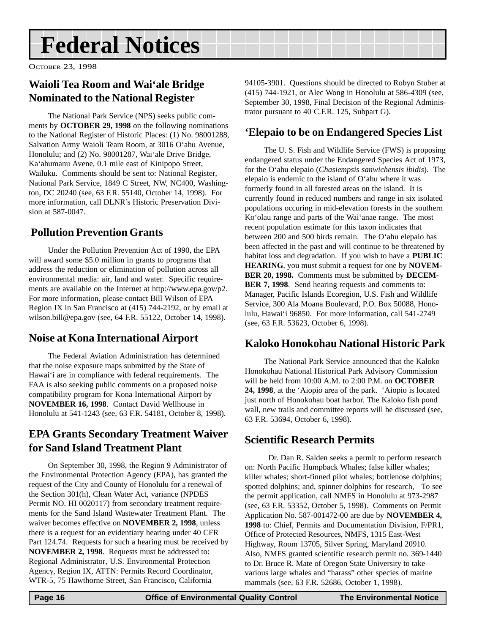# <span id="page-15-0"></span>**Federal Notices**

OCTOBER 23, 1998

# **Waioli Tea Room and Wai'ale Bridge Nominated to the National Register**

The National Park Service (NPS) seeks public comments by **OCTOBER 29, 1998** on the following nominations to the National Register of Historic Places: (1) No. 98001288, Salvation Army Waioli Team Room, at 3016 O'ahu Avenue, Honolulu; and (2) No. 98001287, Wai'ale Drive Bridge, Ka'ahumanu Avene, 0.1 mile east of Kinipopo Street, Wailuku. Comments should be sent to: National Register, National Park Service, 1849 C Street, NW, NC400, Washington, DC 20240 (see, 63 F.R. 55140, October 14, 1998). For more information, call DLNR's Historic Preservation Division at 587-0047.

# **Pollution Prevention Grants**

Under the Pollution Prevention Act of 1990, the EPA will award some \$5.0 million in grants to programs that address the reduction or elimination of pollution across all environmental media: air, land and water. Specific requirements are available on the Internet at http://www.epa.gov/p2. For more information, please contact Bill Wilson of EPA Region IX in San Francisco at (415) 744-2192, or by email at wilson.bill@epa.gov (see, 64 F.R. 55122, October 14, 1998).

# **Noise at Kona International Airport**

The Federal Aviation Administration has determined that the noise exposure maps submitted by the State of Hawai'i are in compliance with federal requirements. The FAA is also seeking public comments on a proposed noise compatibility program for Kona International Airport by **NOVEMBER 16, 1998**. Contact David Wellhouse in Honolulu at 541-1243 (see, 63 F.R. 54181, October 8, 1998).

## **EPA Grants Secondary Treatment Waiver for Sand Island Treatment Plant**

On September 30, 1998, the Region 9 Administrator of the Environmental Protection Agency (EPA), has granted the request of the City and County of Honolulu for a renewal of the Section 301(h), Clean Water Act, variance (NPDES Permit NO. HI 0020117) from secondary treatment requirements for the Sand Island Wastewater Treatment Plant. The waiver becomes effective on **NOVEMBER 2, 1998**, unless there is a request for an evidentiary hearing under 40 CFR Part 124.74. Requests for such a hearing must be received by **NOVEMBER 2, 1998**. Requests must be addressed to: Regional Administrator, U.S. Environmental Protection Agency, Region IX, ATTN: Permits Record Coordinator, WTR-5, 75 Hawthorne Street, San Francisco, California

94105-3901. Questions should be directed to Robyn Stuber at (415) 744-1921, or Alec Wong in Honolulu at 586-4309 (see, September 30, 1998, Final Decision of the Regional Administrator pursuant to 40 C.F.R. 125, Subpart G).

## **'Elepaio to be on Endangered Species List**

The U. S. Fish and Wildlife Service (FWS) is proposing endangered status under the Endangered Species Act of 1973, for the O'ahu elepaio (*Chasiempsis sanwichensis ibidis*). The elepaio is endemic to the island of O'ahu where it was formerly found in all forested areas on the island. It is currently found in reduced numbers and range in six isolated populations occuring in mid-elevation forests in the southern Ko'olau range and parts of the Wai'anae range. The most recent population estimate for this taxon indicates that between 200 and 500 birds remain. The O'ahu elepaio has been affected in the past and will continue to be threatened by habitat loss and degradation. If you wish to have a **PUBLIC HEARING**, you must submit a request for one by **NOVEM-BER 20, 1998.** Comments must be submitted by **DECEM-BER 7, 1998**. Send hearing requests and comments to: Manager, Pacific Islands Ecoregion, U.S. Fish and Wildlife Service, 300 Ala Moana Boulevard, P.O. Box 50088, Honolulu, Hawai'i 96850. For more information, call 541-2749 (see, 63 F.R. 53623, October 6, 1998).

### **Kaloko Honokohau National Historic Park**

The National Park Service announced that the Kaloko Honokohau National Historical Park Advisory Commission will be held from 10:00 A.M. to 2:00 P.M. on **OCTOBER 24, 1998**, at the 'Aiopio area of the park. 'Aiopio is located just north of Honokohau boat harbor. The Kaloko fish pond wall, new trails and committee reports will be discussed (see, 63 F.R. 53694, October 6, 1998).

## **Scientific Research Permits**

 Dr. Dan R. Salden seeks a permit to perform research on: North Pacific Humpback Whales; false killer whales; killer whales; short-finned pilot whales; bottlenose dolphins; spotted dolphins; and, spinner dolphins for research, To see the permit application, call NMFS in Honolulu at 973-2987 (see, 63 F.R. 53352, October 5, 1998). Comments on Permit Application No. 587-001472-00 are due by **NOVEMBER 4, 1998** to: Chief, Permits and Documentation Division, F/PR1, Office of Protected Resources, NMFS, 1315 East-West Highway, Room 13705, Silver Spring, Maryland 20910. Also, NMFS granted scientific research permit no. 369-1440 to Dr. Bruce R. Mate of Oregon State University to take various large whales and "harass" other species of marine mammals (see, 63 F.R. 52686, October 1, 1998).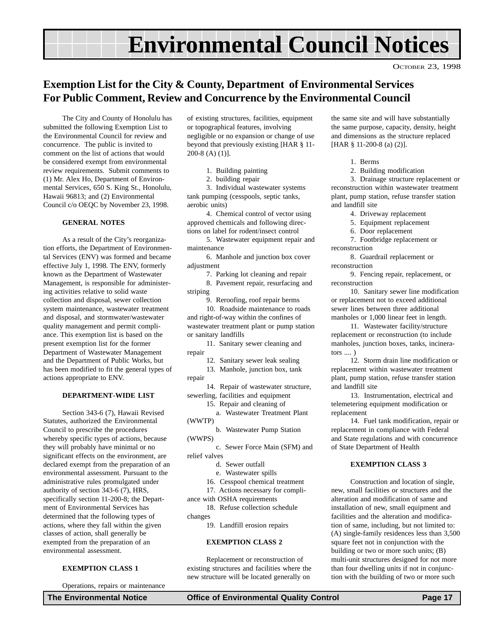# **Environmental Council Notices**

OCTOBER 23, 1998

## <span id="page-16-0"></span>**Exemption List for the City & County, Department of Environmental Services For Public Comment, Review and Concurrence by the Environmental Council**

The City and County of Honolulu has submitted the following Exemption List to the Environmental Council for review and concurrence. The public is invited to comment on the list of actions that would be considered exempt from environmental review requirements. Submit comments to (1) Mr. Alex Ho, Department of Environmental Services, 650 S. King St., Honolulu, Hawaii 96813; and (2) Environmental Council c/o OEQC by November 23, 1998.

#### **GENERAL NOTES**

As a result of the City's reorganization efforts, the Department of Environmental Services (ENV) was formed and became effective July 1, 1998. The ENV, formerly known as the Department of Wastewater Management, is responsible for administering activities relative to solid waste collection and disposal, sewer collection system maintenance, wastewater treatment and disposal, and stormwater/wastewater quality management and permit compliance. This exemption list is based on the present exemption list for the former Department of Wastewater Management and the Department of Public Works, but has been modified to fit the general types of actions appropriate to ENV.

#### **DEPARTMENT-WIDE LIST**

Section 343-6 (7), Hawaii Revised Statutes, authorized the Environmental Council to prescribe the procedures whereby specific types of actions, because they will probably have minimal or no significant effects on the environment, are declared exempt from the preparation of an environmental assessment. Pursuant to the administrative rules promulgated under authority of section 343-6 (7), HRS, specifically section 11-200-8; the Department of Environmental Services has determined that the following types of actions, where they fall within the given classes of action, shall generally be exempted from the preparation of an environmental assessment.

#### **EXEMPTION CLASS 1**

Operations, repairs or maintenance

of existing structures, facilities, equipment or topographical features, involving negligible or no expansion or change of use beyond that previously existing [HAR § 11- 200-8 (A) (1)].

1. Building painting

2. building repair

3. Individual wastewater systems tank pumping (cesspools, septic tanks, aerobic units)

4. Chemical control of vector using approved chemicals and following directions on label for rodent/insect control

5. Wastewater equipment repair and maintenance

6. Manhole and junction box cover adjustment

7. Parking lot cleaning and repair

8. Pavement repair, resurfacing and striping

9. Reroofing, roof repair berms

10. Roadside maintenance to roads and right-of-way within the confines of wastewater treatment plant or pump station or sanitary landfills

11. Sanitary sewer cleaning and repair

12. Sanitary sewer leak sealing

13. Manhole, junction box, tank repair

14. Repair of wastewater structure, sewerling, facilities and equipment

15. Repair and cleaning of a. Wastewater Treatment Plant

(WWTP)

b. Wastewater Pump Station (WWPS)

c. Sewer Force Main (SFM) and relief valves

d. Sewer outfall

e. Wastewater spills

16. Cesspool chemical treatment

17. Actions necessary for compli-

ance with OSHA requirements 18. Refuse collection schedule

changes

19. Landfill erosion repairs

#### **EXEMPTION CLASS 2**

Replacement or reconstruction of existing structures and facilities where the new structure will be located generally on

the same site and will have substantially the same purpose, capacity, density, height and dimensions as the structure replaced [HAR § 11-200-8 (a) (2)].

- 1. Berms
- 2. Building modification

3. Drainage structure replacement or reconstruction within wastewater treatment plant, pump station, refuse transfer station and landfill site

- 4. Driveway replacement
- 5. Equipment replacement
- 6. Door replacement

7. Footbridge replacement or reconstruction

8. Guardrail replacement or reconstruction

9. Fencing repair, replacement, or reconstruction

10. Sanitary sewer line modification or replacement not to exceed additional sewer lines between three additional manholes or 1,000 linear feet in length.

11. Wastewater facility/structure replacement or reconstruction (to include manholes, junction boxes, tanks, incinerators .... )

12. Storm drain line modification or replacement within wastewater treatment plant, pump station, refuse transfer station and landfill site

13. Instrumentation, electrical and telemetering equipment modification or replacement

14. Fuel tank modification, repair or replacement in compliance with Federal and State regulations and with concurrence of State Department of Health

#### **EXEMPTION CLASS 3**

Construction and location of single, new, small facilities or structures and the alteration and modification of same and installation of new, small equipment and facilities and the alteration and modification of same, including, but not limited to: (A) single-family residences less than 3,500 square feet not in conjunction with the building or two or more such units; (B) multi-unit structures designed for not more than four dwelling units if not in conjunction with the building of two or more such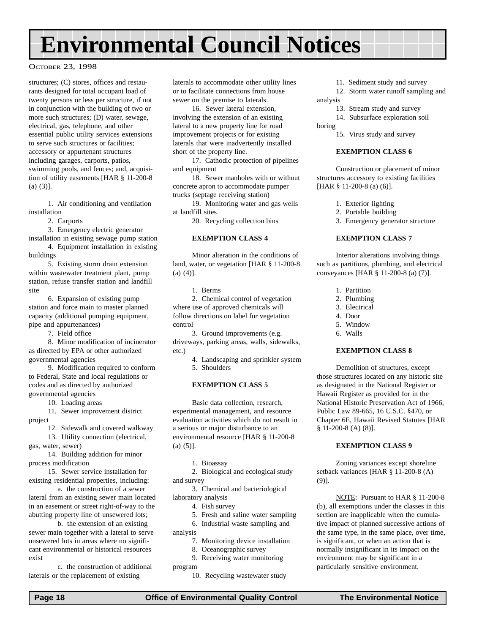# **Environmental Council Notices**

#### OCTOBER 23, 1998

structures; (C) stores, offices and restaurants designed for total occupant load of twenty persons or less per structure, if not in conjunction with the building of two or more such structures; (D) water, sewage, electrical, gas, telephone, and other essential public utility services extensions to serve such structures or facilities; accessory or appurtenant structures including garages, carports, patios, swimming pools, and fences; and, acquisition of utility easements [HAR § 11-200-8  $(a) (3)$ ].

1. Air conditioning and ventilation installation

2. Carports

3. Emergency electric generator

installation in existing sewage pump station 4. Equipment installation in existing

buildings 5. Existing storm drain extension

within wastewater treatment plant, pump station, refuse transfer station and landfill site

6. Expansion of existing pump station and force main to master planned capacity (additional pumping equipment, pipe and appurtenances)

7. Field office

8. Minor modification of incinerator as directed by EPA or other authorized governmental agencies

9. Modification required to conform to Federal, State and local regulations or codes and as directed by authorized governmental agencies

10. Loading areas

11. Sewer improvement district project

12. Sidewalk and covered walkway

13. Utility connection (electrical, gas, water, sewer)

14. Building addition for minor process modification

15. Sewer service installation for existing residential properties, including:

a. the construction of a sewer lateral from an existing sewer main located in an easement or street right-of-way to the abutting property line of unsewered lots;

b. the extension of an existing sewer main together with a lateral to serve unsewered lots in areas where no significant environmental or historical resources exist

c. the construction of additional laterals or the replacement of existing

laterals to accommodate other utility lines or to facilitate connections from house sewer on the premise to laterals.

16. Sewer lateral extension, involving the extension of an existing lateral to a new property line for road improvement projects or for existing laterals that were inadvertently installed short of the property line.

17. Cathodic protection of pipelines and equipment

18. Sewer manholes with or without concrete apron to accommodate pumper trucks (septage receiving station)

19. Monitoring water and gas wells at landfill sites

20. Recycling collection bins

#### **EXEMPTION CLASS 4**

Minor alteration in the conditions of land, water, or vegetation [HAR § 11-200-8 (a) (4)].

1. Berms

2. Chemical control of vegetation where use of approved chemicals will follow directions on label for vegetation control

3. Ground improvements (e.g. driveways, parking areas, walls, sidewalks, etc.)

> 4. Landscaping and sprinkler system 5. Shoulders

#### **EXEMPTION CLASS 5**

Basic data collection, research, experimental management, and resource evaluation activities which do not result in a serious or major disturbance to an environmental resource [HAR § 11-200-8  $(a) (5)$ ].

1. Bioassay

2. Biological and ecological study and survey

3. Chemical and bacteriological laboratory analysis

4. Fish survey

- 5. Fresh and saline water sampling
- 6. Industrial waste sampling and

analysis

- 7. Monitoring device installation
- 8. Oceanographic survey
- 9. Receiving water monitoring

program

10. Recycling wastewater study

11. Sediment study and survey

12. Storm water runoff sampling and analysis

- 13. Stream study and survey
- 14. Subsurface exploration soil
- boring
	- 15. Virus study and survey

#### **EXEMPTION CLASS 6**

Construction or placement of minor structures accessory to existing facilities [HAR § 11-200-8 (a) (6)].

- 1. Exterior lighting
- 2. Portable building
- 3. Emergency generator structure

#### **EXEMPTION CLASS 7**

Interior alterations involving things such as partitions, plumbing, and electrical conveyances [HAR § 11-200-8 (a) (7)].

- 1. Partition
- 2. Plumbing
- 3. Electrical
- 4. Door
- 5. Window
- 6. Walls

#### **EXEMPTION CLASS 8**

Demolition of structures, except those structures located on any historic site as designated in the National Register or Hawaii Register as provided for in the National Historic Preservation Act of 1966, Public Law 89-665, 16 U.S.C. §470, or Chapter 6E, Hawaii Revised Statutes [HAR § 11-200-8 (A) (8)].

#### **EXEMPTION CLASS 9**

Zoning variances except shoreline setback variances [HAR § 11-200-8 (A) (9)].

NOTE: Pursuant to HAR § 11-200-8 (b), all exemptions under the classes in this section are inapplicable when the cumulative impact of planned successive actions of the same type, in the same place, over time, is significant, or when an action that is normally insignificant in its impact on the environment may be significant in a particularly sensitive environment.